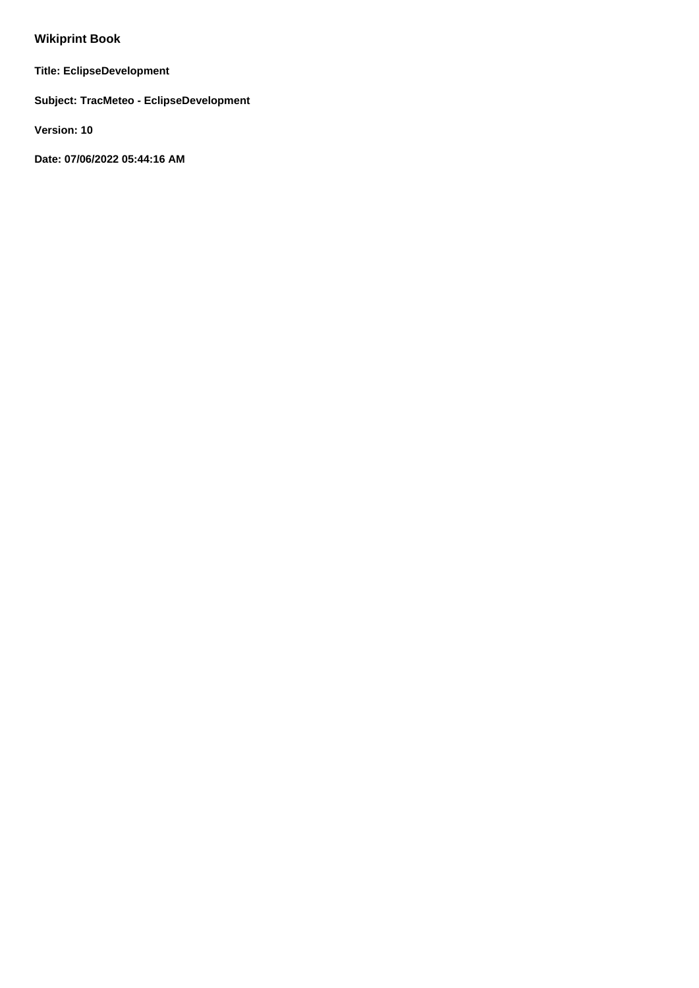# **Wikiprint Book**

**Title: EclipseDevelopment**

**Subject: TracMeteo - EclipseDevelopment**

**Version: 10**

**Date: 07/06/2022 05:44:16 AM**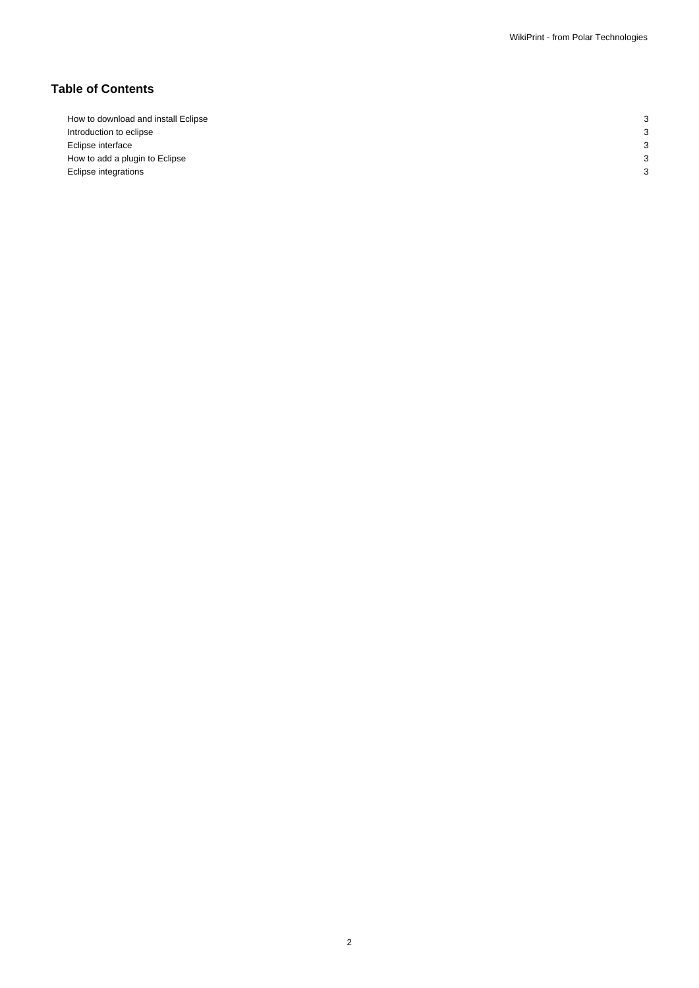# **Table of Contents**

| c              |
|----------------|
| $\overline{ }$ |
| $\overline{ }$ |
|                |
|                |